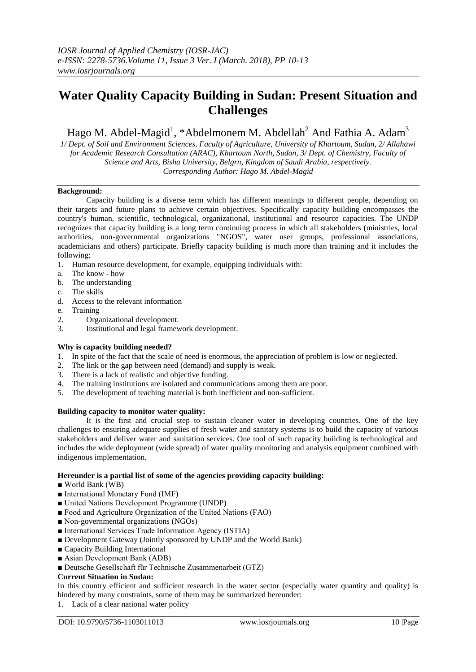# **Water Quality Capacity Building in Sudan: Present Situation and Challenges**

Hago M. Abdel-Magid<sup>1</sup>, \*Abdelmonem M. Abdellah<sup>2</sup> And Fathia A. Adam<sup>3</sup>

*1/ Dept. of Soil and Environment Sciences, Faculty of Agriculture, University of Khartoum, Sudan, 2/ Allahawi for Academic Research Consultation (ARAC), Khartoum North, Sudan, 3/ Dept. of Chemistry, Faculty of Science and Arts, Bisha University, Belgrn, Kingdom of Saudi Arabia, respectively. Corresponding Author: Hago M. Abdel-Magid*

#### **Background:**

Capacity building is a diverse term which has different meanings to different people, depending on their targets and future plans to achieve certain objectives. Specifically capacity building encompasses the country's human, scientific, technological, organizational, institutional and resource capacities. The UNDP recognizes that capacity building is a long term continuing process in which all stakeholders (ministries, local authorities, non-governmental organizations "NGOS", water user groups, professional associations, academicians and others) participate. Briefly capacity building is much more than training and it includes the following:

- 1. Human resource development, for example, equipping individuals with:
- a. The know how
- b. The understanding
- c. The skills
- d. Access to the relevant information
- e. Training
- 2. Organizational development.
- 3. Institutional and legal framework development.

#### **Why is capacity building needed?**

- 1. In spite of the fact that the scale of need is enormous, the appreciation of problem is low or neglected.
- 2. The link or the gap between need (demand) and supply is weak.
- 3. There is a lack of realistic and objective funding.
- 4. The training institutions are isolated and communications among them are poor.
- 5. The development of teaching material is both inefficient and non-sufficient.

#### **Building capacity to monitor water quality:**

It is the first and crucial step to sustain cleaner water in developing countries. One of the key challenges to ensuring adequate supplies of fresh water and sanitary systems is to build the capacity of various stakeholders and deliver water and sanitation services. One tool of such capacity building is technological and includes the wide deployment (wide spread) of water quality monitoring and analysis equipment combined with indigenous implementation.

# **Hereunder is a partial list of some of the agencies providing capacity building:**

- World Bank (WB)
- International Monetary Fund (IMF)
- United Nations Development Programme (UNDP)
- Food and Agriculture Organization of the United Nations (FAO)
- Non-governmental organizations (NGOs)
- International Services Trade Information Agency (ISTIA)
- Development Gateway (Jointly sponsored by UNDP and the World Bank)
- Capacity Building International
- Asian Development Bank (ADB)
- Deutsche Gesellschaft fűr Technische Zusammenarbeit (GTZ)

#### **Current Situation in Sudan:**

In this country efficient and sufficient research in the water sector (especially water quantity and quality) is hindered by many constraints, some of them may be summarized hereunder:

1. Lack of a clear national water policy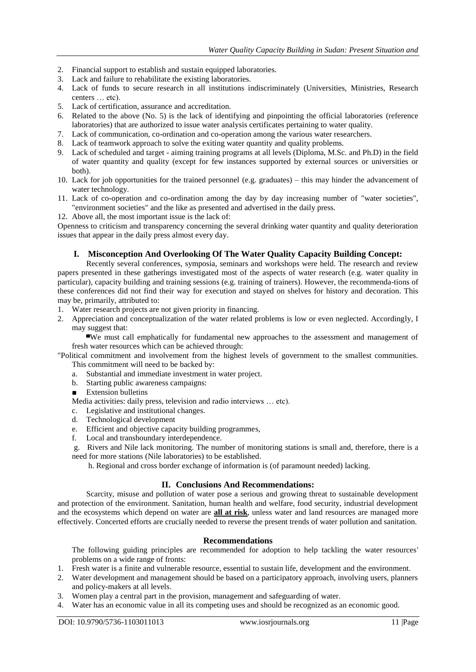- 2. Financial support to establish and sustain equipped laboratories.
- 3. Lack and failure to rehabilitate the existing laboratories.
- 4. Lack of funds to secure research in all institutions indiscriminately (Universities, Ministries, Research centers … etc).
- 5. Lack of certification, assurance and accreditation.
- 6. Related to the above (No. 5) is the lack of identifying and pinpointing the official laboratories (reference laboratories) that are authorized to issue water analysis certificates pertaining to water quality.
- 7. Lack of communication, co-ordination and co-operation among the various water researchers.
- 8. Lack of teamwork approach to solve the exiting water quantity and quality problems.
- 9. Lack of scheduled and target aiming training programs at all levels (Diploma, M.Sc. and Ph.D) in the field of water quantity and quality (except for few instances supported by external sources or universities or both).
- 10. Lack for job opportunities for the trained personnel (e.g. graduates) this may hinder the advancement of water technology.
- 11. Lack of co-operation and co-ordination among the day by day increasing number of "water societies", "environment societies" and the like as presented and advertised in the daily press.
- 12. Above all, the most important issue is the lack of:

Openness to criticism and transparency concerning the several drinking water quantity and quality deterioration issues that appear in the daily press almost every day.

# **I. Misconception And Overlooking Of The Water Quality Capacity Building Concept:**

Recently several conferences, symposia, seminars and workshops were held. The research and review papers presented in these gatherings investigated most of the aspects of water research (e.g. water quality in particular), capacity building and training sessions (e.g. training of trainers). However, the recommenda-tions of these conferences did not find their way for execution and stayed on shelves for history and decoration. This may be, primarily, attributed to:

- 1. Water research projects are not given priority in financing.
- 2. Appreciation and conceptualization of the water related problems is low or even neglected. Accordingly, I may suggest that:

▄We must call emphatically for fundamental new approaches to the assessment and management of fresh water resources which can be achieved through:

"Political commitment and involvement from the highest levels of government to the smallest communities. This commitment will need to be backed by:

- a. Substantial and immediate investment in water project.
- b. Starting public awareness campaigns:
- Extension bulletins
- Media activities: daily press, television and radio interviews … etc).
- c. Legislative and institutional changes.
- d. Technological development
- e. Efficient and objective capacity building programmes,
- f. Local and transboundary interdependence.

g. Rivers and Nile lack monitoring. The number of monitoring stations is small and, therefore, there is a need for more stations (Nile laboratories) to be established.

h. Regional and cross border exchange of information is (of paramount needed) lacking.

### **II. Conclusions And Recommendations:**

Scarcity, misuse and pollution of water pose a serious and growing threat to sustainable development and protection of the environment. Sanitation, human health and welfare, food security, industrial development and the ecosystems which depend on water are **all at risk**, unless water and land resources are managed more effectively. Concerted efforts are crucially needed to reverse the present trends of water pollution and sanitation.

# **Recommendations**

The following guiding principles are recommended for adoption to help tackling the water resources' problems on a wide range of fronts:

- 1. Fresh water is a finite and vulnerable resource, essential to sustain life, development and the environment.
- 2. Water development and management should be based on a participatory approach, involving users, planners and policy-makers at all levels.
- 3. Women play a central part in the provision, management and safeguarding of water.
- 4. Water has an economic value in all its competing uses and should be recognized as an economic good.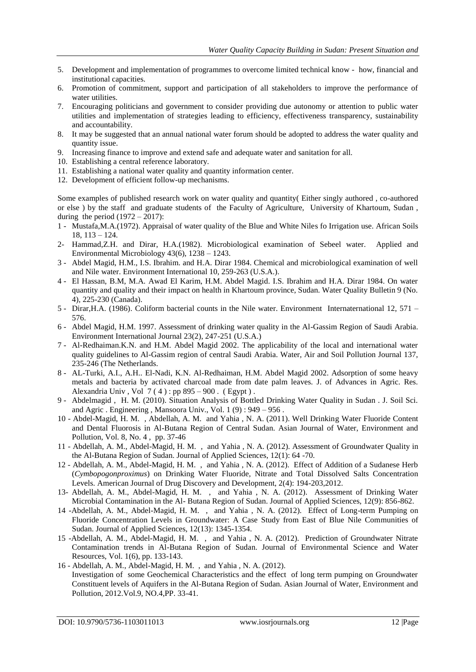- 5. Development and implementation of programmes to overcome limited technical know how, financial and institutional capacities.
- 6. Promotion of commitment, support and participation of all stakeholders to improve the performance of water utilities.
- 7. Encouraging politicians and government to consider providing due autonomy or attention to public water utilities and implementation of strategies leading to efficiency, effectiveness transparency, sustainability and accountability.
- 8. It may be suggested that an annual national water forum should be adopted to address the water quality and quantity issue.
- 9. Increasing finance to improve and extend safe and adequate water and sanitation for all.
- 10. Establishing a central reference laboratory.
- 11. Establishing a national water quality and quantity information center.
- 12. Development of efficient follow-up mechanisms.

Some examples of published research work on water quality and quantity( Either singly authored , co-authored or else ) by the staff and graduate students of the Faculty of Agriculture, University of Khartoum, Sudan , during the period  $(1972 - 2017)$ :

- 1 Mustafa,M.A.(1972). Appraisal of water quality of the Blue and White Niles fo Irrigation use. African Soils 18, 113 – 124.
- 2- Hammad,Z.H. and Dirar, H.A.(1982). Microbiological examination of Sebeel water. Applied and Environmental Microbiology 43(6), 1238 – 1243.
- 3 Abdel Magid, H.M., I.S. Ibrahim. and H.A. Dirar 1984. Chemical and microbiological examination of well and Nile water. Environment International 10, 259-263 (U.S.A.).
- 4 El Hassan, B.M, M.A. Awad El Karim, H.M. Abdel Magid. I.S. Ibrahim and H.A. Dirar 1984. On water quantity and quality and their impact on health in Khartoum province, Sudan. Water Quality Bulletin 9 (No. 4), 225-230 (Canada).
- 5 Dirar,H.A. (1986). Coliform bacterial counts in the Nile water. Environment Internaternational 12, 571 576.
- 6 Abdel Magid, H.M. 1997. Assessment of drinking water quality in the Al-Gassim Region of Saudi Arabia. Environment International Journal 23(2), 247-251 (U.S.A.)
- 7 Al-Redhaiman.K.N. and H.M. Abdel Magid 2002. The applicability of the local and international water quality guidelines to Al-Gassim region of central Saudi Arabia. Water, Air and Soil Pollution Journal 137, 235-246 (The Netherlands.
- 8 AL-Turki, A.I., A.H.. El-Nadi, K.N. Al-Redhaiman, H.M. Abdel Magid 2002. Adsorption of some heavy metals and bacteria by activated charcoal made from date palm leaves. J. of Advances in Agric. Res. Alexandria Univ, Vol  $7(4)$ : pp 895 – 900. (Egypt).
- 9 Abdelmagid , H. M. (2010). Situation Analysis of Bottled Drinking Water Quality in Sudan . J. Soil Sci. and Agric . Engineering , Mansoora Univ., Vol.  $1(9)$ : 949 – 956.
- 10 Abdel-Magid, H. M. , Abdellah, A. M. and Yahia , N. A. (2011). Well Drinking Water Fluoride Content and Dental Fluorosis in Al-Butana Region of Central Sudan. Asian Journal of Water, Environment and Pollution, Vol. 8, No. 4 , pp. 37-46
- 11 Abdellah, A. M., Abdel-Magid, H. M. , and Yahia , N. A. (2012). Assessment of Groundwater Quality in the Al-Butana Region of Sudan. Journal of Applied Sciences, 12(1): 64 -70.
- 12 Abdellah, A. M., Abdel-Magid, H. M. , and Yahia , N. A. (2012). Effect of Addition of a Sudanese Herb (*Cymbopogonproximus*) on Drinking Water Fluoride, Nitrate and Total Dissolved Salts Concentration Levels. American Journal of Drug Discovery and Development, 2(4): 194-203,2012.
- 13- Abdellah, A. M., Abdel-Magid, H. M. , and Yahia , N. A. (2012). Assessment of Drinking Water Microbial Contamination in the Al- Butana Region of Sudan. Journal of Applied Sciences, 12(9): 856-862.
- 14 -Abdellah, A. M., Abdel-Magid, H. M. , and Yahia , N. A. (2012). Effect of Long-term Pumping on Fluoride Concentration Levels in Groundwater: A Case Study from East of Blue Nile Communities of Sudan. Journal of Applied Sciences, 12(13): 1345-1354.
- 15 -Abdellah, A. M., Abdel-Magid, H. M. , and Yahia , N. A. (2012). Prediction of Groundwater Nitrate Contamination trends in Al-Butana Region of Sudan. Journal of Environmental Science and Water Resources, Vol. 1(6), pp. 133-143.
- 16 Abdellah, A. M., Abdel-Magid, H. M. , and Yahia , N. A. (2012). Investigation of some Geochemical Characteristics and the effect of long term pumping on Groundwater Constituent levels of Aquifers in the Al-Butana Region of Sudan. Asian Journal of Water, Environment and Pollution, 2012.Vol.9, NO.4,PP. 33-41.